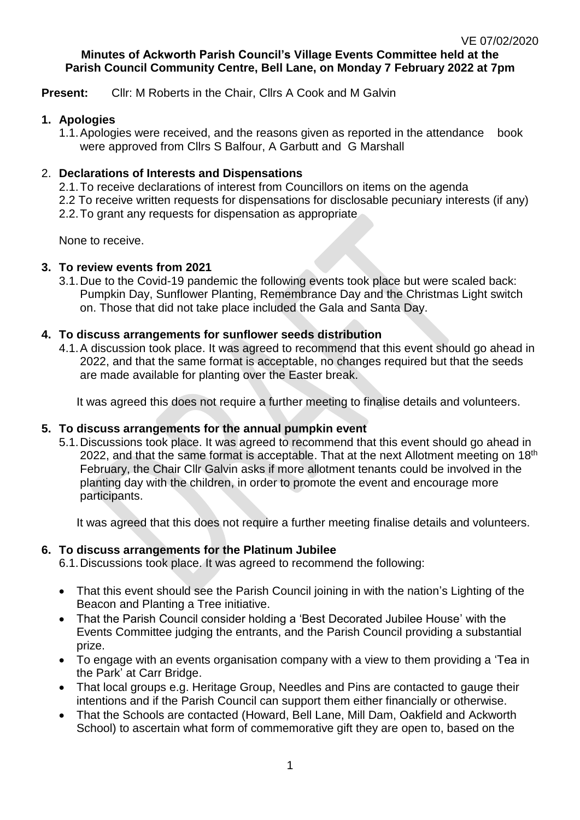#### **Minutes of Ackworth Parish Council's Village Events Committee held at the Parish Council Community Centre, Bell Lane, on Monday 7 February 2022 at 7pm**

**Present:** Cllr: M Roberts in the Chair, Cllrs A Cook and M Galvin

### **1. Apologies**

1.1.Apologies were received, and the reasons given as reported in the attendance book were approved from Cllrs S Balfour, A Garbutt and G Marshall

# 2. **Declarations of Interests and Dispensations**

2.1.To receive declarations of interest from Councillors on items on the agenda 2.2 To receive written requests for dispensations for disclosable pecuniary interests (if any) 2.2.To grant any requests for dispensation as appropriate

None to receive.

# **3. To review events from 2021**

3.1.Due to the Covid-19 pandemic the following events took place but were scaled back: Pumpkin Day, Sunflower Planting, Remembrance Day and the Christmas Light switch on. Those that did not take place included the Gala and Santa Day.

# **4. To discuss arrangements for sunflower seeds distribution**

4.1.A discussion took place. It was agreed to recommend that this event should go ahead in 2022, and that the same format is acceptable, no changes required but that the seeds are made available for planting over the Easter break.

It was agreed this does not require a further meeting to finalise details and volunteers.

# **5. To discuss arrangements for the annual pumpkin event**

5.1.Discussions took place. It was agreed to recommend that this event should go ahead in 2022, and that the same format is acceptable. That at the next Allotment meeting on  $18<sup>th</sup>$ February, the Chair Cllr Galvin asks if more allotment tenants could be involved in the planting day with the children, in order to promote the event and encourage more participants.

It was agreed that this does not require a further meeting finalise details and volunteers.

# **6. To discuss arrangements for the Platinum Jubilee**

6.1.Discussions took place. It was agreed to recommend the following:

- That this event should see the Parish Council joining in with the nation's Lighting of the Beacon and Planting a Tree initiative.
- That the Parish Council consider holding a 'Best Decorated Jubilee House' with the Events Committee judging the entrants, and the Parish Council providing a substantial prize.
- To engage with an events organisation company with a view to them providing a 'Tea in the Park' at Carr Bridge.
- That local groups e.g. Heritage Group, Needles and Pins are contacted to gauge their intentions and if the Parish Council can support them either financially or otherwise.
- That the Schools are contacted (Howard, Bell Lane, Mill Dam, Oakfield and Ackworth School) to ascertain what form of commemorative gift they are open to, based on the